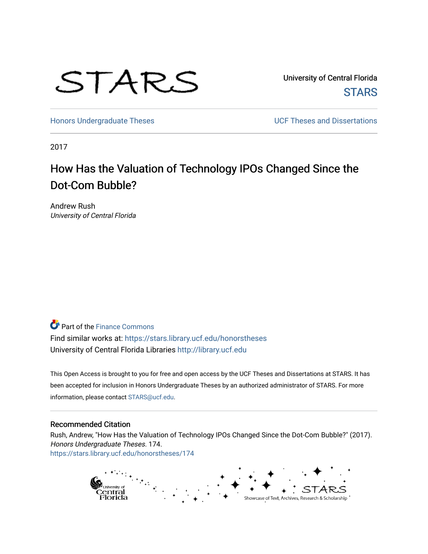

University of Central Florida **STARS** 

[Honors Undergraduate Theses](https://stars.library.ucf.edu/honorstheses) **Exercise 2018** UCF Theses and Dissertations

2017

# How Has the Valuation of Technology IPOs Changed Since the Dot-Com Bubble?

Andrew Rush University of Central Florida

**P** Part of the Finance Commons

Find similar works at: <https://stars.library.ucf.edu/honorstheses> University of Central Florida Libraries [http://library.ucf.edu](http://library.ucf.edu/) 

This Open Access is brought to you for free and open access by the UCF Theses and Dissertations at STARS. It has been accepted for inclusion in Honors Undergraduate Theses by an authorized administrator of STARS. For more information, please contact [STARS@ucf.edu.](mailto:STARS@ucf.edu)

#### Recommended Citation

Rush, Andrew, "How Has the Valuation of Technology IPOs Changed Since the Dot-Com Bubble?" (2017). Honors Undergraduate Theses. 174. [https://stars.library.ucf.edu/honorstheses/174](https://stars.library.ucf.edu/honorstheses/174?utm_source=stars.library.ucf.edu%2Fhonorstheses%2F174&utm_medium=PDF&utm_campaign=PDFCoverPages) 

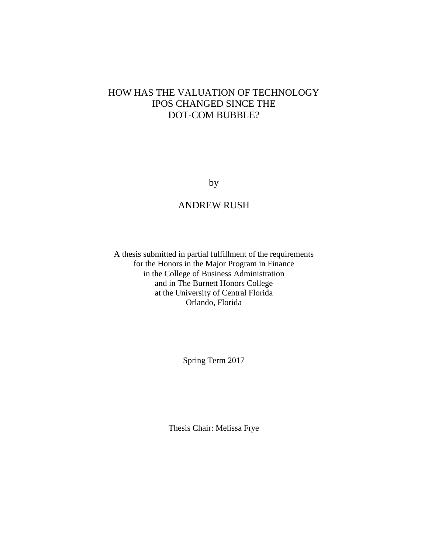## HOW HAS THE VALUATION OF TECHNOLOGY IPOS CHANGED SINCE THE DOT-COM BUBBLE?

by

## ANDREW RUSH

A thesis submitted in partial fulfillment of the requirements for the Honors in the Major Program in Finance in the College of Business Administration and in The Burnett Honors College at the University of Central Florida Orlando, Florida

Spring Term 2017

Thesis Chair: Melissa Frye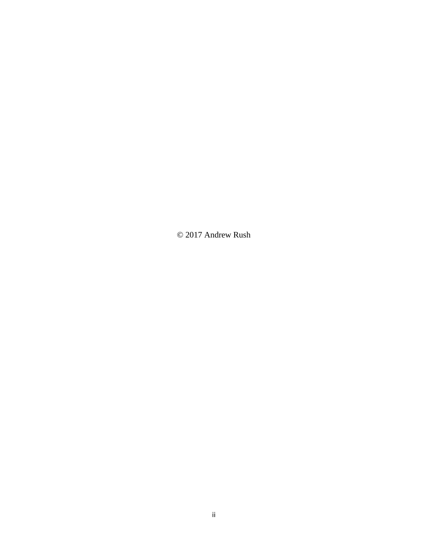© 2017 Andrew Rush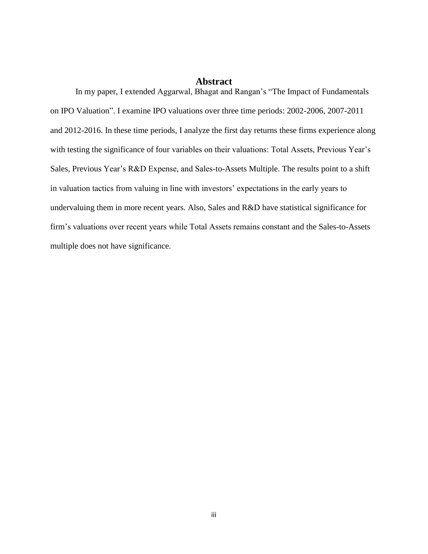### **Abstract**

In my paper, I extended Aggarwal, Bhagat and Rangan's "The Impact of Fundamentals on IPO Valuation". I examine IPO valuations over three time periods: 2002-2006, 2007-2011 and 2012-2016. In these time periods, I analyze the first day returns these firms experience along with testing the significance of four variables on their valuations: Total Assets, Previous Year's Sales, Previous Year's R&D Expense, and Sales-to-Assets Multiple. The results point to a shift in valuation tactics from valuing in line with investors' expectations in the early years to undervaluing them in more recent years. Also, Sales and R&D have statistical significance for firm's valuations over recent years while Total Assets remains constant and the Sales-to-Assets multiple does not have significance.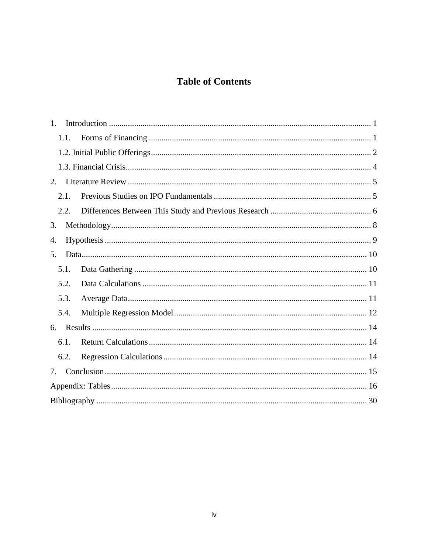## **Table of Contents**

| 1.   |  |  |
|------|--|--|
| 1.1. |  |  |
|      |  |  |
|      |  |  |
| 2.   |  |  |
| 2.1. |  |  |
| 2.2. |  |  |
| 3.   |  |  |
| 4.   |  |  |
| 5.   |  |  |
| 5.1. |  |  |
| 5.2. |  |  |
| 5.3. |  |  |
| 5.4. |  |  |
| 6.   |  |  |
| 6.1. |  |  |
| 6.2. |  |  |
| 7.   |  |  |
|      |  |  |
|      |  |  |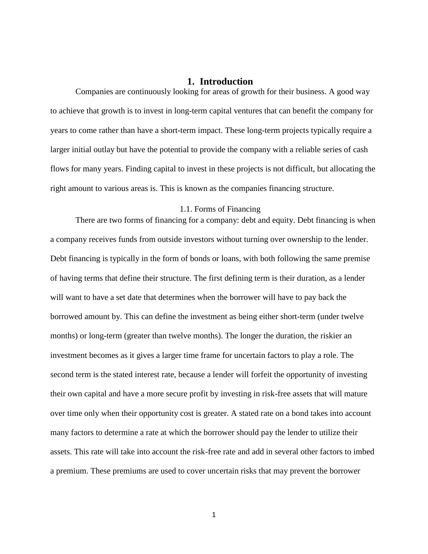## **1. Introduction**

<span id="page-5-0"></span>Companies are continuously looking for areas of growth for their business. A good way to achieve that growth is to invest in long-term capital ventures that can benefit the company for years to come rather than have a short-term impact. These long-term projects typically require a larger initial outlay but have the potential to provide the company with a reliable series of cash flows for many years. Finding capital to invest in these projects is not difficult, but allocating the right amount to various areas is. This is known as the companies financing structure.

#### <span id="page-5-1"></span>1.1. Forms of Financing

There are two forms of financing for a company: debt and equity. Debt financing is when a company receives funds from outside investors without turning over ownership to the lender. Debt financing is typically in the form of bonds or loans, with both following the same premise of having terms that define their structure. The first defining term is their duration, as a lender will want to have a set date that determines when the borrower will have to pay back the borrowed amount by. This can define the investment as being either short-term (under twelve months) or long-term (greater than twelve months). The longer the duration, the riskier an investment becomes as it gives a larger time frame for uncertain factors to play a role. The second term is the stated interest rate, because a lender will forfeit the opportunity of investing their own capital and have a more secure profit by investing in risk-free assets that will mature over time only when their opportunity cost is greater. A stated rate on a bond takes into account many factors to determine a rate at which the borrower should pay the lender to utilize their assets. This rate will take into account the risk-free rate and add in several other factors to imbed a premium. These premiums are used to cover uncertain risks that may prevent the borrower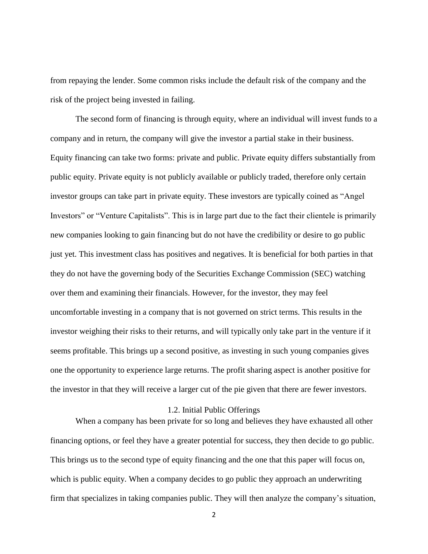from repaying the lender. Some common risks include the default risk of the company and the risk of the project being invested in failing.

The second form of financing is through equity, where an individual will invest funds to a company and in return, the company will give the investor a partial stake in their business. Equity financing can take two forms: private and public. Private equity differs substantially from public equity. Private equity is not publicly available or publicly traded, therefore only certain investor groups can take part in private equity. These investors are typically coined as "Angel Investors" or "Venture Capitalists". This is in large part due to the fact their clientele is primarily new companies looking to gain financing but do not have the credibility or desire to go public just yet. This investment class has positives and negatives. It is beneficial for both parties in that they do not have the governing body of the Securities Exchange Commission (SEC) watching over them and examining their financials. However, for the investor, they may feel uncomfortable investing in a company that is not governed on strict terms. This results in the investor weighing their risks to their returns, and will typically only take part in the venture if it seems profitable. This brings up a second positive, as investing in such young companies gives one the opportunity to experience large returns. The profit sharing aspect is another positive for the investor in that they will receive a larger cut of the pie given that there are fewer investors.

#### 1.2. Initial Public Offerings

<span id="page-6-0"></span>When a company has been private for so long and believes they have exhausted all other financing options, or feel they have a greater potential for success, they then decide to go public. This brings us to the second type of equity financing and the one that this paper will focus on, which is public equity. When a company decides to go public they approach an underwriting firm that specializes in taking companies public. They will then analyze the company's situation,

2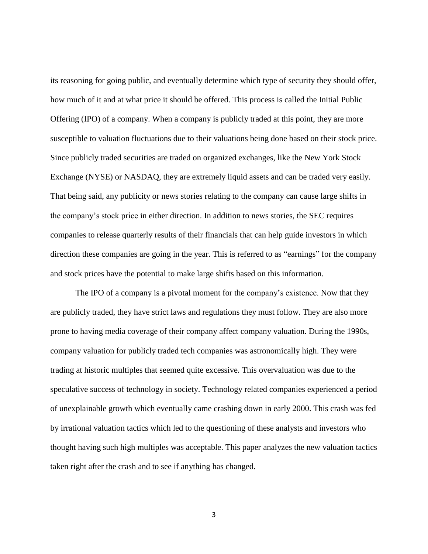its reasoning for going public, and eventually determine which type of security they should offer, how much of it and at what price it should be offered. This process is called the Initial Public Offering (IPO) of a company. When a company is publicly traded at this point, they are more susceptible to valuation fluctuations due to their valuations being done based on their stock price. Since publicly traded securities are traded on organized exchanges, like the New York Stock Exchange (NYSE) or NASDAQ, they are extremely liquid assets and can be traded very easily. That being said, any publicity or news stories relating to the company can cause large shifts in the company's stock price in either direction. In addition to news stories, the SEC requires companies to release quarterly results of their financials that can help guide investors in which direction these companies are going in the year. This is referred to as "earnings" for the company and stock prices have the potential to make large shifts based on this information.

The IPO of a company is a pivotal moment for the company's existence. Now that they are publicly traded, they have strict laws and regulations they must follow. They are also more prone to having media coverage of their company affect company valuation. During the 1990s, company valuation for publicly traded tech companies was astronomically high. They were trading at historic multiples that seemed quite excessive. This overvaluation was due to the speculative success of technology in society. Technology related companies experienced a period of unexplainable growth which eventually came crashing down in early 2000. This crash was fed by irrational valuation tactics which led to the questioning of these analysts and investors who thought having such high multiples was acceptable. This paper analyzes the new valuation tactics taken right after the crash and to see if anything has changed.

3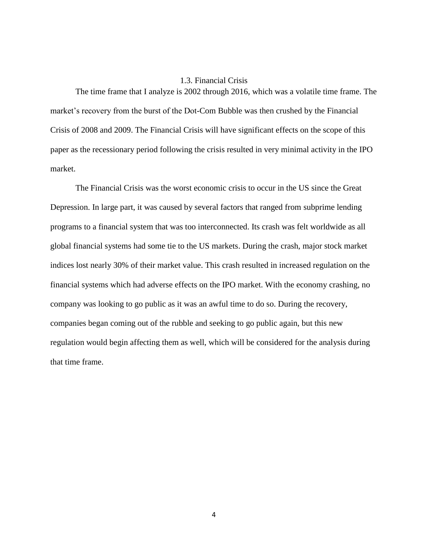### 1.3. Financial Crisis

<span id="page-8-0"></span>The time frame that I analyze is 2002 through 2016, which was a volatile time frame. The market's recovery from the burst of the Dot-Com Bubble was then crushed by the Financial Crisis of 2008 and 2009. The Financial Crisis will have significant effects on the scope of this paper as the recessionary period following the crisis resulted in very minimal activity in the IPO market.

The Financial Crisis was the worst economic crisis to occur in the US since the Great Depression. In large part, it was caused by several factors that ranged from subprime lending programs to a financial system that was too interconnected. Its crash was felt worldwide as all global financial systems had some tie to the US markets. During the crash, major stock market indices lost nearly 30% of their market value. This crash resulted in increased regulation on the financial systems which had adverse effects on the IPO market. With the economy crashing, no company was looking to go public as it was an awful time to do so. During the recovery, companies began coming out of the rubble and seeking to go public again, but this new regulation would begin affecting them as well, which will be considered for the analysis during that time frame.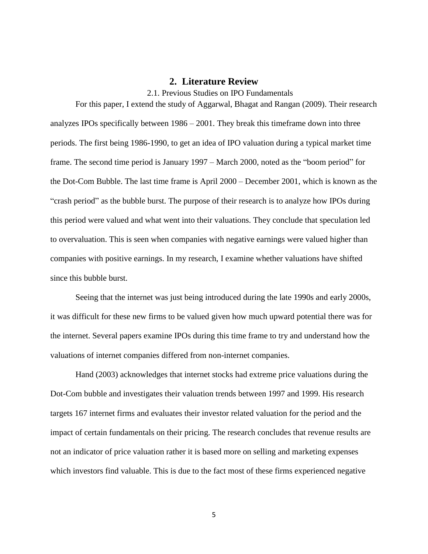### <span id="page-9-1"></span>**2. Literature Review**

2.1. Previous Studies on IPO Fundamentals

<span id="page-9-0"></span>For this paper, I extend the study of Aggarwal, Bhagat and Rangan (2009). Their research analyzes IPOs specifically between 1986 – 2001. They break this timeframe down into three periods. The first being 1986-1990, to get an idea of IPO valuation during a typical market time frame. The second time period is January 1997 – March 2000, noted as the "boom period" for the Dot-Com Bubble. The last time frame is April 2000 – December 2001, which is known as the "crash period" as the bubble burst. The purpose of their research is to analyze how IPOs during this period were valued and what went into their valuations. They conclude that speculation led to overvaluation. This is seen when companies with negative earnings were valued higher than companies with positive earnings. In my research, I examine whether valuations have shifted since this bubble burst.

Seeing that the internet was just being introduced during the late 1990s and early 2000s, it was difficult for these new firms to be valued given how much upward potential there was for the internet. Several papers examine IPOs during this time frame to try and understand how the valuations of internet companies differed from non-internet companies.

Hand (2003) acknowledges that internet stocks had extreme price valuations during the Dot-Com bubble and investigates their valuation trends between 1997 and 1999. His research targets 167 internet firms and evaluates their investor related valuation for the period and the impact of certain fundamentals on their pricing. The research concludes that revenue results are not an indicator of price valuation rather it is based more on selling and marketing expenses which investors find valuable. This is due to the fact most of these firms experienced negative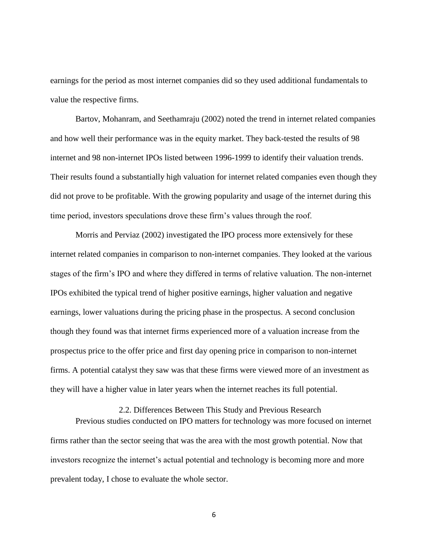earnings for the period as most internet companies did so they used additional fundamentals to value the respective firms.

Bartov, Mohanram, and Seethamraju (2002) noted the trend in internet related companies and how well their performance was in the equity market. They back-tested the results of 98 internet and 98 non-internet IPOs listed between 1996-1999 to identify their valuation trends. Their results found a substantially high valuation for internet related companies even though they did not prove to be profitable. With the growing popularity and usage of the internet during this time period, investors speculations drove these firm's values through the roof.

Morris and Perviaz (2002) investigated the IPO process more extensively for these internet related companies in comparison to non-internet companies. They looked at the various stages of the firm's IPO and where they differed in terms of relative valuation. The non-internet IPOs exhibited the typical trend of higher positive earnings, higher valuation and negative earnings, lower valuations during the pricing phase in the prospectus. A second conclusion though they found was that internet firms experienced more of a valuation increase from the prospectus price to the offer price and first day opening price in comparison to non-internet firms. A potential catalyst they saw was that these firms were viewed more of an investment as they will have a higher value in later years when the internet reaches its full potential.

<span id="page-10-0"></span>2.2. Differences Between This Study and Previous Research Previous studies conducted on IPO matters for technology was more focused on internet firms rather than the sector seeing that was the area with the most growth potential. Now that investors recognize the internet's actual potential and technology is becoming more and more prevalent today, I chose to evaluate the whole sector.

6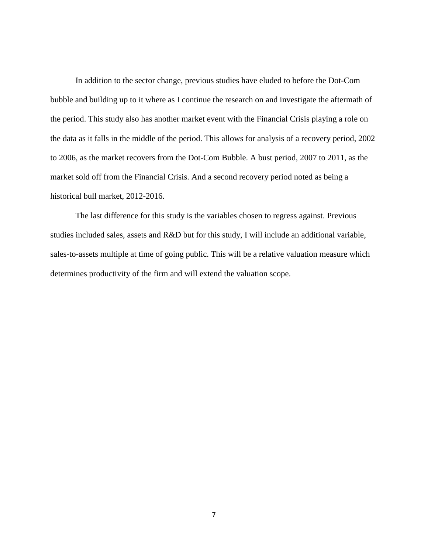In addition to the sector change, previous studies have eluded to before the Dot-Com bubble and building up to it where as I continue the research on and investigate the aftermath of the period. This study also has another market event with the Financial Crisis playing a role on the data as it falls in the middle of the period. This allows for analysis of a recovery period, 2002 to 2006, as the market recovers from the Dot-Com Bubble. A bust period, 2007 to 2011, as the market sold off from the Financial Crisis. And a second recovery period noted as being a historical bull market, 2012-2016.

The last difference for this study is the variables chosen to regress against. Previous studies included sales, assets and R&D but for this study, I will include an additional variable, sales-to-assets multiple at time of going public. This will be a relative valuation measure which determines productivity of the firm and will extend the valuation scope.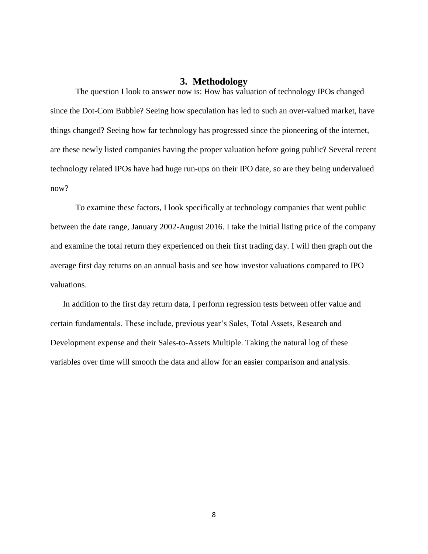## **3. Methodology**

<span id="page-12-0"></span>The question I look to answer now is: How has valuation of technology IPOs changed since the Dot-Com Bubble? Seeing how speculation has led to such an over-valued market, have things changed? Seeing how far technology has progressed since the pioneering of the internet, are these newly listed companies having the proper valuation before going public? Several recent technology related IPOs have had huge run-ups on their IPO date, so are they being undervalued now?

To examine these factors, I look specifically at technology companies that went public between the date range, January 2002-August 2016. I take the initial listing price of the company and examine the total return they experienced on their first trading day. I will then graph out the average first day returns on an annual basis and see how investor valuations compared to IPO valuations.

In addition to the first day return data, I perform regression tests between offer value and certain fundamentals. These include, previous year's Sales, Total Assets, Research and Development expense and their Sales-to-Assets Multiple. Taking the natural log of these variables over time will smooth the data and allow for an easier comparison and analysis.

8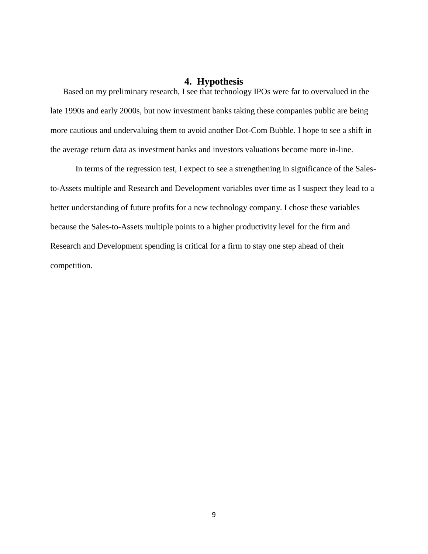## **4. Hypothesis**

<span id="page-13-0"></span>Based on my preliminary research, I see that technology IPOs were far to overvalued in the late 1990s and early 2000s, but now investment banks taking these companies public are being more cautious and undervaluing them to avoid another Dot-Com Bubble. I hope to see a shift in the average return data as investment banks and investors valuations become more in-line.

In terms of the regression test, I expect to see a strengthening in significance of the Salesto-Assets multiple and Research and Development variables over time as I suspect they lead to a better understanding of future profits for a new technology company. I chose these variables because the Sales-to-Assets multiple points to a higher productivity level for the firm and Research and Development spending is critical for a firm to stay one step ahead of their competition.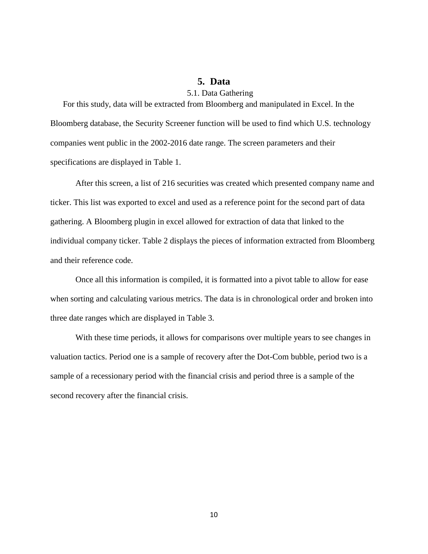## <span id="page-14-1"></span>**5. Data**

### 5.1. Data Gathering

<span id="page-14-0"></span>For this study, data will be extracted from Bloomberg and manipulated in Excel. In the Bloomberg database, the Security Screener function will be used to find which U.S. technology companies went public in the 2002-2016 date range. The screen parameters and their specifications are displayed in Table 1.

After this screen, a list of 216 securities was created which presented company name and ticker. This list was exported to excel and used as a reference point for the second part of data gathering. A Bloomberg plugin in excel allowed for extraction of data that linked to the individual company ticker. Table 2 displays the pieces of information extracted from Bloomberg and their reference code.

Once all this information is compiled, it is formatted into a pivot table to allow for ease when sorting and calculating various metrics. The data is in chronological order and broken into three date ranges which are displayed in Table 3.

With these time periods, it allows for comparisons over multiple years to see changes in valuation tactics. Period one is a sample of recovery after the Dot-Com bubble, period two is a sample of a recessionary period with the financial crisis and period three is a sample of the second recovery after the financial crisis.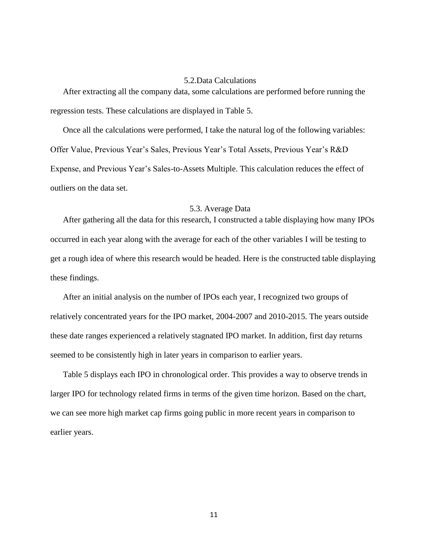#### 5.2.Data Calculations

<span id="page-15-0"></span>After extracting all the company data, some calculations are performed before running the regression tests. These calculations are displayed in Table 5.

Once all the calculations were performed, I take the natural log of the following variables: Offer Value, Previous Year's Sales, Previous Year's Total Assets, Previous Year's R&D Expense, and Previous Year's Sales-to-Assets Multiple. This calculation reduces the effect of outliers on the data set.

#### <span id="page-15-1"></span>5.3. Average Data

After gathering all the data for this research, I constructed a table displaying how many IPOs occurred in each year along with the average for each of the other variables I will be testing to get a rough idea of where this research would be headed. Here is the constructed table displaying these findings.

After an initial analysis on the number of IPOs each year, I recognized two groups of relatively concentrated years for the IPO market, 2004-2007 and 2010-2015. The years outside these date ranges experienced a relatively stagnated IPO market. In addition, first day returns seemed to be consistently high in later years in comparison to earlier years.

Table 5 displays each IPO in chronological order. This provides a way to observe trends in larger IPO for technology related firms in terms of the given time horizon. Based on the chart, we can see more high market cap firms going public in more recent years in comparison to earlier years.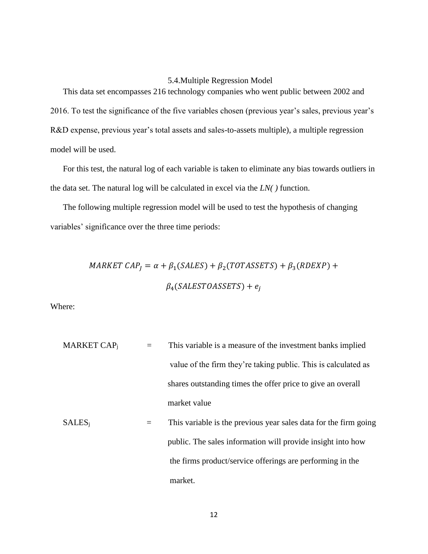### 5.4.Multiple Regression Model

<span id="page-16-0"></span>This data set encompasses 216 technology companies who went public between 2002 and 2016. To test the significance of the five variables chosen (previous year's sales, previous year's R&D expense, previous year's total assets and sales-to-assets multiple), a multiple regression model will be used.

For this test, the natural log of each variable is taken to eliminate any bias towards outliers in the data set. The natural log will be calculated in excel via the *LN( )* function.

The following multiple regression model will be used to test the hypothesis of changing variables' significance over the three time periods:

> MARKET CAP<sub>I</sub> =  $\alpha$  +  $\beta_1(SALES)$  +  $\beta_2(TOTASSETS)$  +  $\beta_3(RDEXP)$  +  $\beta_4(SALESTOASSETS) + e_i$

Where:

MARKET CAPj = This variable is a measure of the investment banks implied value of the firm they're taking public. This is calculated as shares outstanding times the offer price to give an overall market value SALESj = This variable is the previous year sales data for the firm going public. The sales information will provide insight into how the firms product/service offerings are performing in the

12

market.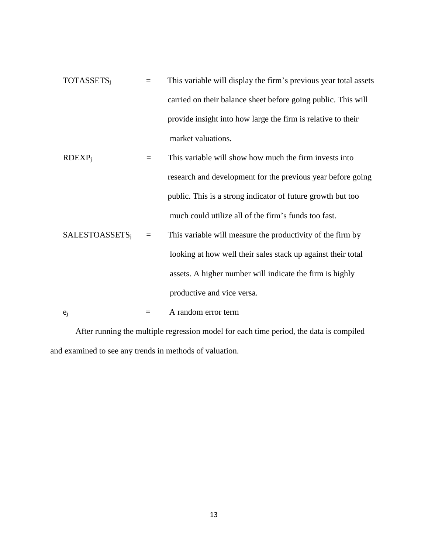$\text{TOTASSETS}_j$  = This variable will display the firm's previous year total assets carried on their balance sheet before going public. This will provide insight into how large the firm is relative to their market valuations.

$$
RDEXPj =
$$
 This variable will show how much the firm invests into  
research and development for the previous year before going  
public. This is a strong indicator of future growth but too  
much could utilize all of the firm's funds too fast.

SALESTOASSETSj = This variable will measure the productivity of the firm by looking at how well their sales stack up against their total assets. A higher number will indicate the firm is highly productive and vice versa.

 $e_j$  = A random error term

After running the multiple regression model for each time period, the data is compiled and examined to see any trends in methods of valuation.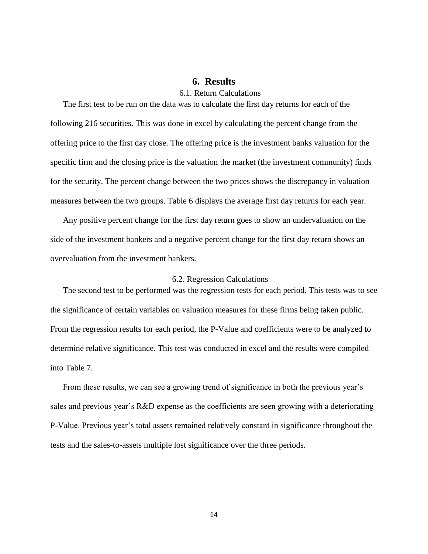## <span id="page-18-1"></span>**6. Results**

### 6.1. Return Calculations

<span id="page-18-0"></span>The first test to be run on the data was to calculate the first day returns for each of the following 216 securities. This was done in excel by calculating the percent change from the offering price to the first day close. The offering price is the investment banks valuation for the specific firm and the closing price is the valuation the market (the investment community) finds for the security. The percent change between the two prices shows the discrepancy in valuation measures between the two groups. Table 6 displays the average first day returns for each year.

Any positive percent change for the first day return goes to show an undervaluation on the side of the investment bankers and a negative percent change for the first day return shows an overvaluation from the investment bankers.

#### <span id="page-18-2"></span>6.2. Regression Calculations

The second test to be performed was the regression tests for each period. This tests was to see the significance of certain variables on valuation measures for these firms being taken public. From the regression results for each period, the P-Value and coefficients were to be analyzed to determine relative significance. This test was conducted in excel and the results were compiled into Table 7.

From these results, we can see a growing trend of significance in both the previous year's sales and previous year's R&D expense as the coefficients are seen growing with a deteriorating P-Value. Previous year's total assets remained relatively constant in significance throughout the tests and the sales-to-assets multiple lost significance over the three periods.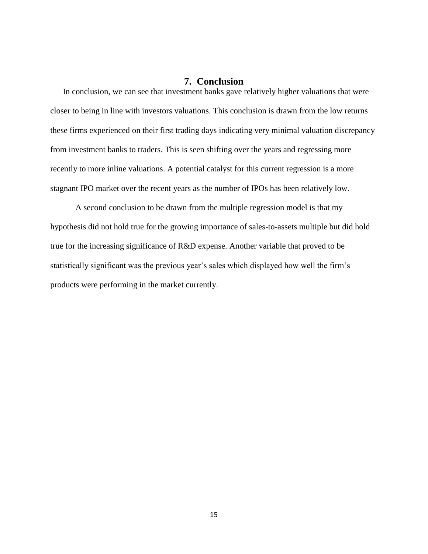## **7. Conclusion**

<span id="page-19-0"></span>In conclusion, we can see that investment banks gave relatively higher valuations that were closer to being in line with investors valuations. This conclusion is drawn from the low returns these firms experienced on their first trading days indicating very minimal valuation discrepancy from investment banks to traders. This is seen shifting over the years and regressing more recently to more inline valuations. A potential catalyst for this current regression is a more stagnant IPO market over the recent years as the number of IPOs has been relatively low.

A second conclusion to be drawn from the multiple regression model is that my hypothesis did not hold true for the growing importance of sales-to-assets multiple but did hold true for the increasing significance of R&D expense. Another variable that proved to be statistically significant was the previous year's sales which displayed how well the firm's products were performing in the market currently.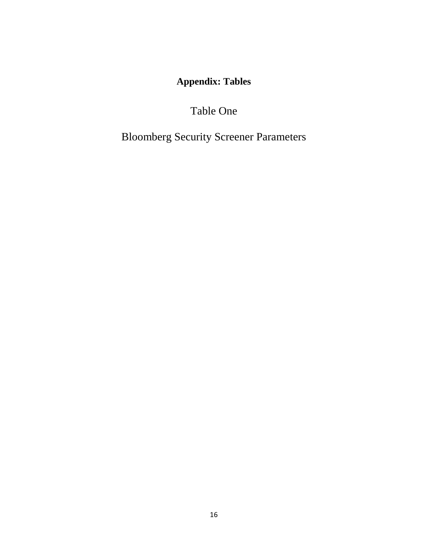**Appendix: Tables**

Table One

<span id="page-20-0"></span>Bloomberg Security Screener Parameters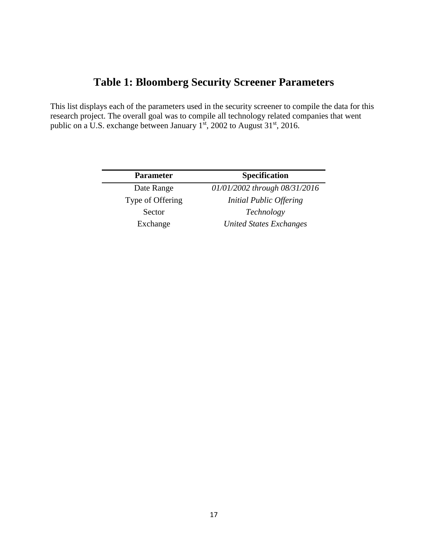# **Table 1: Bloomberg Security Screener Parameters**

This list displays each of the parameters used in the security screener to compile the data for this research project. The overall goal was to compile all technology related companies that went public on a U.S. exchange between January  $1^{st}$ , 2002 to August 31<sup>st</sup>, 2016.

| <b>Parameter</b> | <b>Specification</b>           |
|------------------|--------------------------------|
| Date Range       | 01/01/2002 through 08/31/2016  |
| Type of Offering | Initial Public Offering        |
| Sector           | Technology                     |
| Exchange         | <b>United States Exchanges</b> |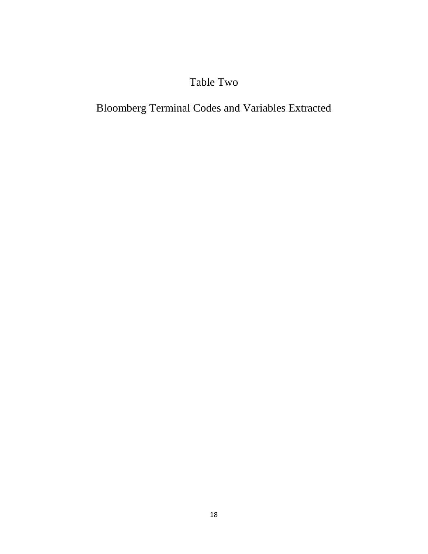# Table Two

# Bloomberg Terminal Codes and Variables Extracted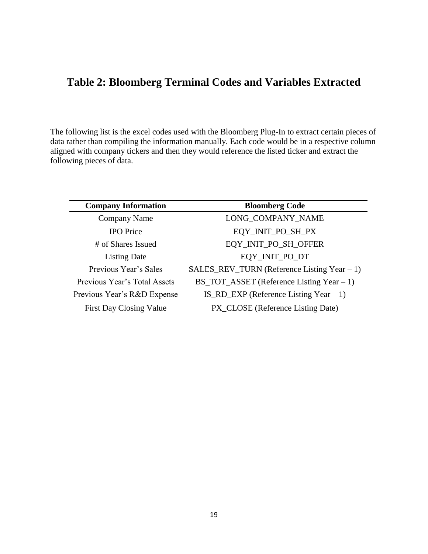# **Table 2: Bloomberg Terminal Codes and Variables Extracted**

The following list is the excel codes used with the Bloomberg Plug-In to extract certain pieces of data rather than compiling the information manually. Each code would be in a respective column aligned with company tickers and then they would reference the listed ticker and extract the following pieces of data.

| <b>Company Information</b>     | <b>Bloomberg Code</b>                           |
|--------------------------------|-------------------------------------------------|
| Company Name                   | LONG COMPANY NAME                               |
| <b>IPO</b> Price               | EQY_INIT_PO_SH_PX                               |
| # of Shares Issued             | EQY_INIT_PO_SH_OFFER                            |
| <b>Listing Date</b>            | EQY_INIT_PO_DT                                  |
| Previous Year's Sales          | SALES_REV_TURN (Reference Listing Year - 1)     |
| Previous Year's Total Assets   | $BS\_TOT\_ASSET$ (Reference Listing Year $-1$ ) |
| Previous Year's R&D Expense    | IS_RD_EXP (Reference Listing Year $-1$ )        |
| <b>First Day Closing Value</b> | PX_CLOSE (Reference Listing Date)               |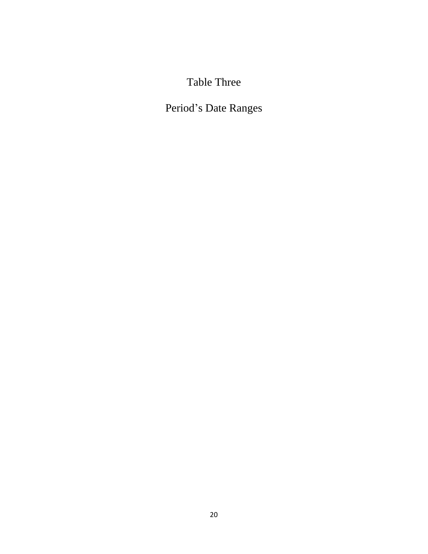# Table Three

# Period's Date Ranges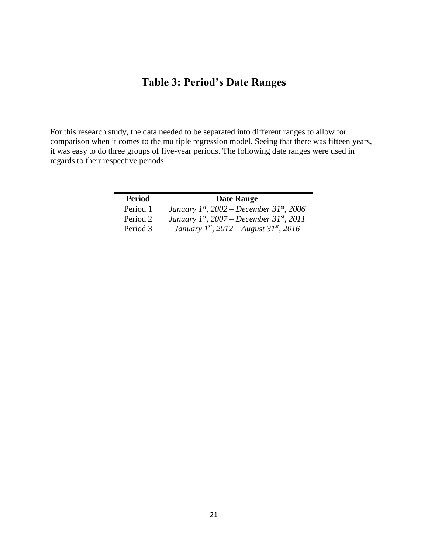# **Table 3: Period's Date Ranges**

For this research study, the data needed to be separated into different ranges to allow for comparison when it comes to the multiple regression model. Seeing that there was fifteen years, it was easy to do three groups of five-year periods. The following date ranges were used in regards to their respective periods.

| <b>Period</b> | <b>Date Range</b>                             |
|---------------|-----------------------------------------------|
| Period 1      | January 1st, 2002 – December 31st, 2006       |
| Period 2      | January $1^{st}$ , 2007 – December 31st, 2011 |
| Period 3      | January 1st, 2012 – August 31st, 2016         |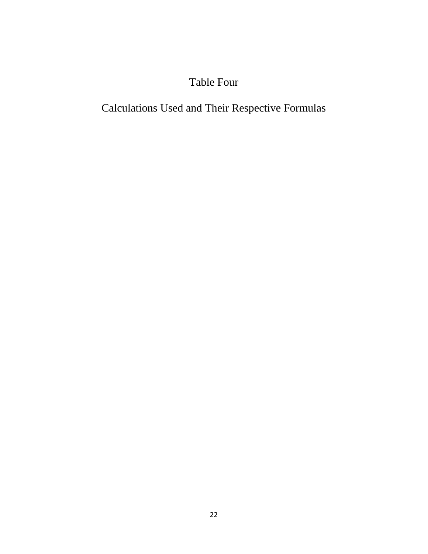# Table Four

# Calculations Used and Their Respective Formulas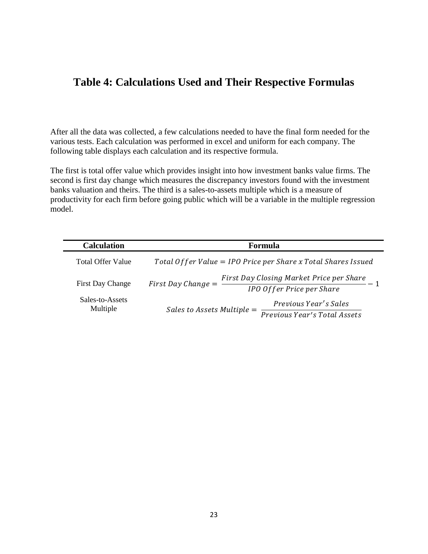## **Table 4: Calculations Used and Their Respective Formulas**

After all the data was collected, a few calculations needed to have the final form needed for the various tests. Each calculation was performed in excel and uniform for each company. The following table displays each calculation and its respective formula.

The first is total offer value which provides insight into how investment banks value firms. The second is first day change which measures the discrepancy investors found with the investment banks valuation and theirs. The third is a sales-to-assets multiple which is a measure of productivity for each firm before going public which will be a variable in the multiple regression model.

| <b>Calculation</b>          | Formula                                                                                       |
|-----------------------------|-----------------------------------------------------------------------------------------------|
| <b>Total Offer Value</b>    | Total Offer Value = IPO Price per Share x Total Shares Issued                                 |
| First Day Change            | First Day Closing Market Price per Share<br>First Day Change $=$<br>IPO Offer Price per Share |
| Sales-to-Assets<br>Multiple | <i>Previous Year's Sales</i><br>Sales to Assets Multiple $=$<br>Previous Year's Total Assets  |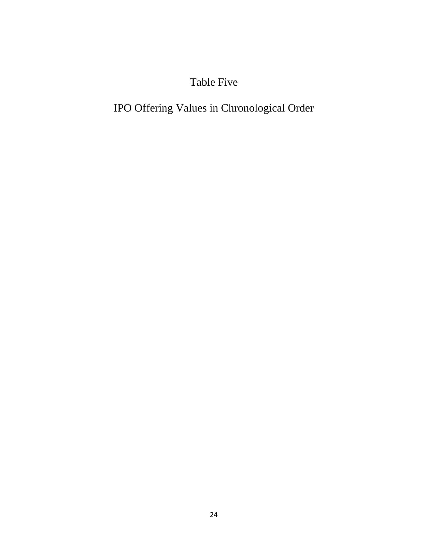# Table Five

# IPO Offering Values in Chronological Order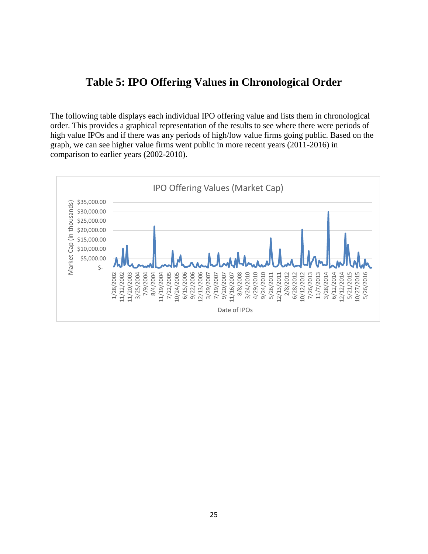## **Table 5: IPO Offering Values in Chronological Order**

The following table displays each individual IPO offering value and lists them in chronological order. This provides a graphical representation of the results to see where there were periods of high value IPOs and if there was any periods of high/low value firms going public. Based on the graph, we can see higher value firms went public in more recent years (2011-2016) in comparison to earlier years (2002-2010).

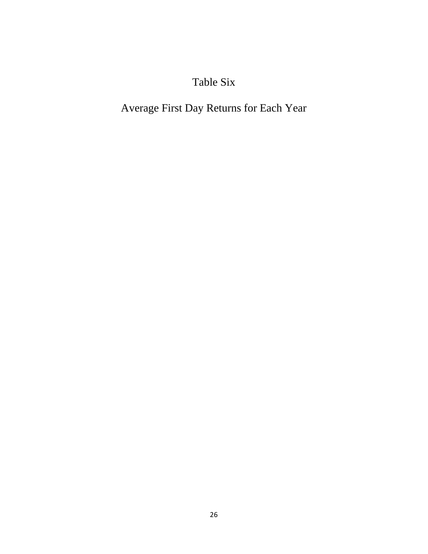# Table Six

# Average First Day Returns for Each Year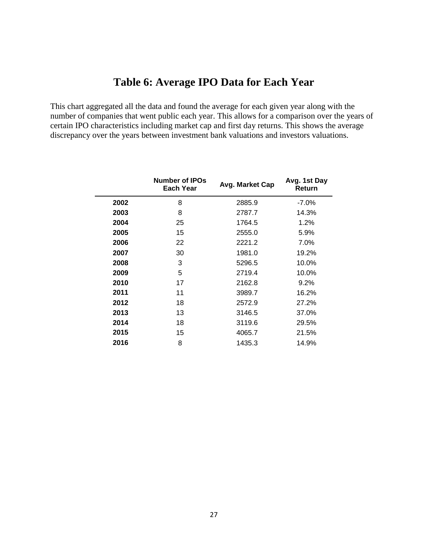# **Table 6: Average IPO Data for Each Year**

This chart aggregated all the data and found the average for each given year along with the number of companies that went public each year. This allows for a comparison over the years of certain IPO characteristics including market cap and first day returns. This shows the average discrepancy over the years between investment bank valuations and investors valuations.

|      | <b>Number of IPOs</b><br>Each Year | Avg. Market Cap | Avg. 1st Day<br>Return |
|------|------------------------------------|-----------------|------------------------|
| 2002 | 8                                  | 2885.9          | $-7.0\%$               |
| 2003 | 8                                  | 2787.7          | 14.3%                  |
| 2004 | 25                                 | 1764.5          | 1.2%                   |
| 2005 | 15                                 | 2555.0          | 5.9%                   |
| 2006 | 22                                 | 2221.2          | 7.0%                   |
| 2007 | 30                                 | 1981.0          | 19.2%                  |
| 2008 | 3                                  | 5296.5          | 10.0%                  |
| 2009 | 5                                  | 2719.4          | 10.0%                  |
| 2010 | 17                                 | 2162.8          | $9.2\%$                |
| 2011 | 11                                 | 3989.7          | 16.2%                  |
| 2012 | 18                                 | 2572.9          | 27.2%                  |
| 2013 | 13                                 | 3146.5          | 37.0%                  |
| 2014 | 18                                 | 3119.6          | 29.5%                  |
| 2015 | 15                                 | 4065.7          | 21.5%                  |
| 2016 | 8                                  | 1435.3          | 14.9%                  |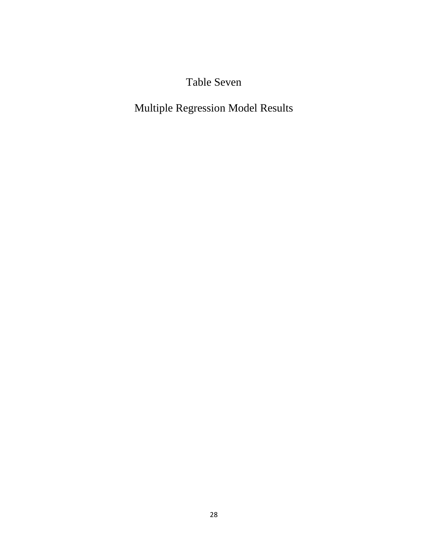Table Seven

Multiple Regression Model Results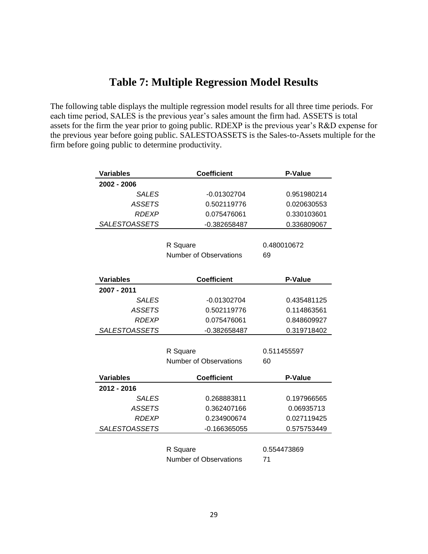# **Table 7: Multiple Regression Model Results**

The following table displays the multiple regression model results for all three time periods. For each time period, SALES is the previous year's sales amount the firm had. ASSETS is total assets for the firm the year prior to going public. RDEXP is the previous year's R&D expense for the previous year before going public. SALESTOASSETS is the Sales-to-Assets multiple for the firm before going public to determine productivity.

| <b>Variables</b>     | <b>Coefficient</b>            | P-Value        |
|----------------------|-------------------------------|----------------|
| 2002 - 2006          |                               |                |
| <b>SALES</b>         | -0.01302704                   | 0.951980214    |
| <b>ASSETS</b>        | 0.502119776                   | 0.020630553    |
| <b>RDEXP</b>         | 0.075476061                   | 0.330103601    |
| <b>SALESTOASSETS</b> | -0.382658487                  | 0.336809067    |
|                      |                               |                |
|                      | R Square                      | 0.480010672    |
|                      | Number of Observations        | 69             |
|                      |                               |                |
| <b>Variables</b>     | <b>Coefficient</b>            | <b>P-Value</b> |
| 2007 - 2011          |                               |                |
| <b>SALES</b>         | $-0.01302704$                 | 0.435481125    |
| <b>ASSETS</b>        | 0.502119776                   | 0.114863561    |
| <b>RDEXP</b>         | 0.075476061                   | 0.848609927    |
| <b>SALESTOASSETS</b> | -0.382658487                  | 0.319718402    |
|                      |                               |                |
|                      | R Square                      | 0.511455597    |
|                      | <b>Number of Observations</b> | 60             |
| <b>Variables</b>     | <b>Coefficient</b>            | P-Value        |
| 2012 - 2016          |                               |                |
| <b>SALES</b>         | 0.268883811                   | 0.197966565    |
| <b>ASSETS</b>        | 0.362407166                   | 0.06935713     |
| <b>RDEXP</b>         | 0.234900674                   | 0.027119425    |
| <b>SALESTOASSETS</b> | $-0.166365055$                | 0.575753449    |
|                      |                               |                |
|                      | R Square                      | 0.554473869    |
|                      | Number of Observations        | 71             |